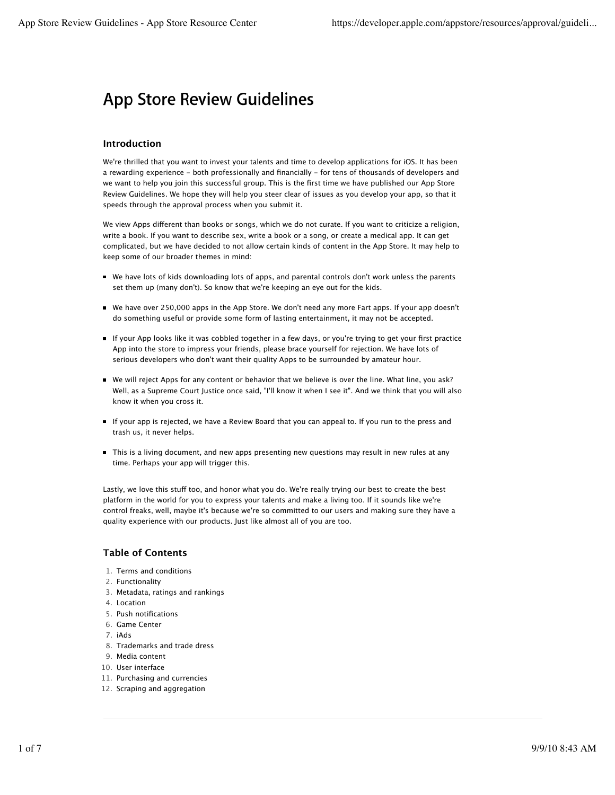# **App Store Review Guidelines**

# **Introduction**

We're thrilled that you want to invest your talents and time to develop applications for iOS. It has been a rewarding experience - both professionally and financially - for tens of thousands of developers and we want to help you join this successful group. This is the first time we have published our App Store Review Guidelines. We hope they will help you steer clear of issues as you develop your app, so that it speeds through the approval process when you submit it.

We view Apps different than books or songs, which we do not curate. If you want to criticize a religion, write a book. If you want to describe sex, write a book or a song, or create a medical app. It can get complicated, but we have decided to not allow certain kinds of content in the App Store. It may help to keep some of our broader themes in mind:

- We have lots of kids downloading lots of apps, and parental controls don't work unless the parents set them up (many don't). So know that we're keeping an eye out for the kids.
- We have over 250,000 apps in the App Store. We don't need any more Fart apps. If your app doesn't do something useful or provide some form of lasting entertainment, it may not be accepted.
- If your App looks like it was cobbled together in a few days, or you're trying to get your first practice App into the store to impress your friends, please brace yourself for rejection. We have lots of serious developers who don't want their quality Apps to be surrounded by amateur hour.
- We will reject Apps for any content or behavior that we believe is over the line. What line, you ask? Well, as a Supreme Court Justice once said, "I'll know it when I see it". And we think that you will also know it when you cross it.
- If your app is rejected, we have a Review Board that you can appeal to. If you run to the press and trash us, it never helps.
- This is a living document, and new apps presenting new questions may result in new rules at any time. Perhaps your app will trigger this.

Lastly, we love this stuff too, and honor what you do. We're really trying our best to create the best platform in the world for you to express your talents and make a living too. If it sounds like we're control freaks, well, maybe it's because we're so committed to our users and making sure they have a quality experience with our products. Just like almost all of you are too.

# **Table of Contents**

- 1. Terms and conditions
- 2. Functionality
- 3. Metadata, ratings and rankings
- 4. Location
- 5. Push notifications
- 6. Game Center
- 7. iAds
- 8. Trademarks and trade dress
- 9. Media content
- 10. User interface
- 11. Purchasing and currencies
- 12. Scraping and aggregation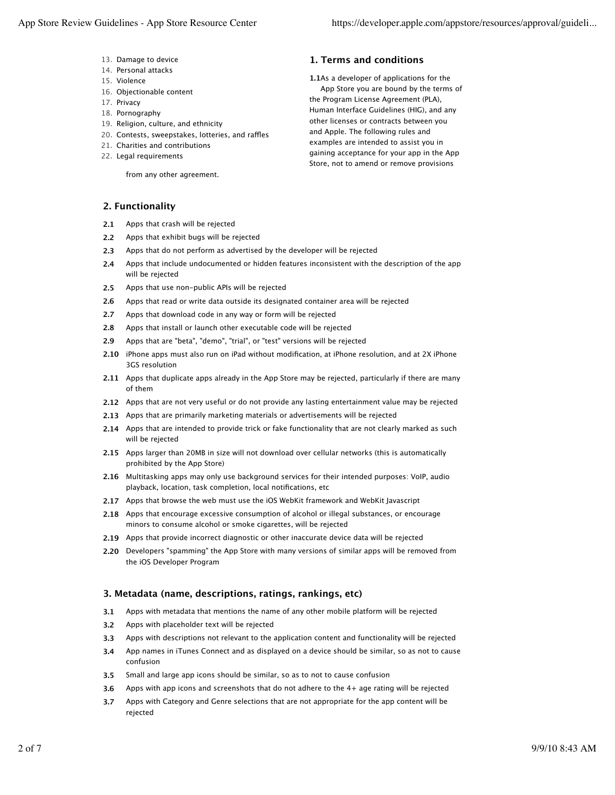- 13. Damage to device
- 14. Personal attacks
- 15. Violence
- 16. Objectionable content
- 17. Privacy
- 18. Pornography
- 19. Religion, culture, and ethnicity
- 20. Contests, sweepstakes, lotteries, and raffles
- 21. Charities and contributions
- 22. Legal requirements

from any other agreement.

# **1. Terms and conditions**

**1.1** As a developer of applications for the App Store you are bound by the terms of the Program License Agreement (PLA), Human Interface Guidelines (HIG), and any other licenses or contracts between you and Apple. The following rules and examples are intended to assist you in gaining acceptance for your app in the App Store, not to amend or remove provisions

#### **2. Functionality**

- **2.1** Apps that crash will be rejected
- **2.2** Apps that exhibit bugs will be rejected
- **2.3** Apps that do not perform as advertised by the developer will be rejected
- **2.4** Apps that include undocumented or hidden features inconsistent with the description of the app will be rejected
- **2.5** Apps that use non-public APIs will be rejected
- **2.6** Apps that read or write data outside its designated container area will be rejected
- **2.7** Apps that download code in any way or form will be rejected
- **2.8** Apps that install or launch other executable code will be rejected
- **2.9** Apps that are "beta", "demo", "trial", or "test" versions will be rejected
- **2.10** iPhone apps must also run on iPad without modification, at iPhone resolution, and at 2X iPhone 3GS resolution
- **2.11** Apps that duplicate apps already in the App Store may be rejected, particularly if there are many of them
- **2.12** Apps that are not very useful or do not provide any lasting entertainment value may be rejected
- **2.13** Apps that are primarily marketing materials or advertisements will be rejected
- **2.14** Apps that are intended to provide trick or fake functionality that are not clearly marked as such will be rejected
- **2.15** Apps larger than 20MB in size will not download over cellular networks (this is automatically prohibited by the App Store)
- **2.16** Multitasking apps may only use background services for their intended purposes: VoIP, audio playback, location, task completion, local notifications, etc
- **2.17** Apps that browse the web must use the iOS WebKit framework and WebKit Javascript
- **2.18** Apps that encourage excessive consumption of alcohol or illegal substances, or encourage minors to consume alcohol or smoke cigarettes, will be rejected
- **2.19** Apps that provide incorrect diagnostic or other inaccurate device data will be rejected
- **2.20** Developers "spamming" the App Store with many versions of similar apps will be removed from the iOS Developer Program

# **3. Metadata (name, descriptions, ratings, rankings, etc)**

- **3.1** Apps with metadata that mentions the name of any other mobile platform will be rejected
- **3.2** Apps with placeholder text will be rejected
- **3.3** Apps with descriptions not relevant to the application content and functionality will be rejected
- **3.4** App names in iTunes Connect and as displayed on a device should be similar, so as not to cause confusion
- **3.5** Small and large app icons should be similar, so as to not to cause confusion
- **3.6** Apps with app icons and screenshots that do not adhere to the 4+ age rating will be rejected
- **3.7** Apps with Category and Genre selections that are not appropriate for the app content will be rejected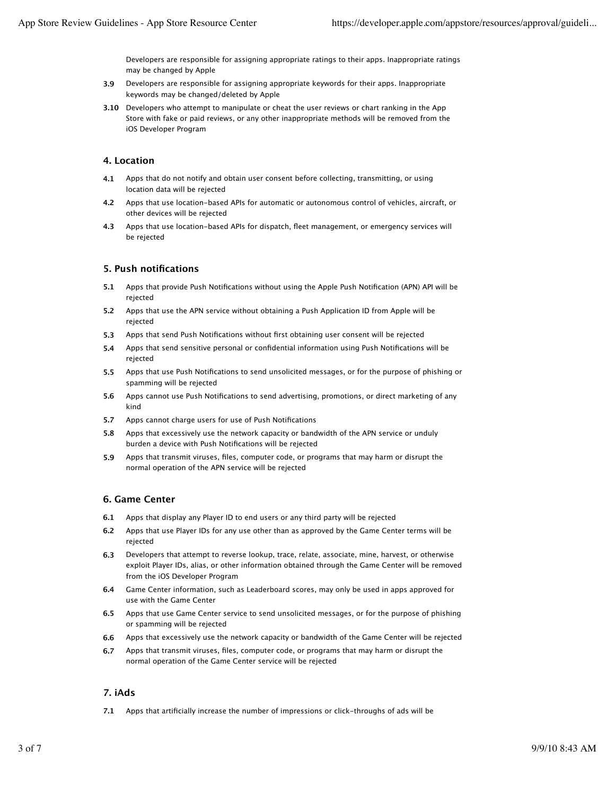Developers are responsible for assigning appropriate ratings to their apps. Inappropriate ratings may be changed by Apple

- **3.9** Developers are responsible for assigning appropriate keywords for their apps. Inappropriate keywords may be changed/deleted by Apple
- **3.10** Developers who attempt to manipulate or cheat the user reviews or chart ranking in the App Store with fake or paid reviews, or any other inappropriate methods will be removed from the iOS Developer Program

# **4. Location**

- **4.1** Apps that do not notify and obtain user consent before collecting, transmitting, or using location data will be rejected
- **4.2** Apps that use location-based APIs for automatic or autonomous control of vehicles, aircraft, or other devices will be rejected
- **4.3** Apps that use location-based APIs for dispatch, fleet management, or emergency services will be rejected

# **5. Push notifications**

- **5.1** Apps that provide Push Notifications without using the Apple Push Notification (APN) API will be rejected
- **5.2** Apps that use the APN service without obtaining a Push Application ID from Apple will be rejected
- **5.3** Apps that send Push Notifications without first obtaining user consent will be rejected
- **5.4** Apps that send sensitive personal or confidential information using Push Notifications will be rejected
- **5.5** Apps that use Push Notifications to send unsolicited messages, or for the purpose of phishing or spamming will be rejected
- **5.6** Apps cannot use Push Notifications to send advertising, promotions, or direct marketing of any kind
- **5.7** Apps cannot charge users for use of Push Notifications
- **5.8** Apps that excessively use the network capacity or bandwidth of the APN service or unduly burden a device with Push Notifications will be rejected
- **5.9** Apps that transmit viruses, files, computer code, or programs that may harm or disrupt the normal operation of the APN service will be rejected

# **6. Game Center**

- **6.1** Apps that display any Player ID to end users or any third party will be rejected
- **6.2** Apps that use Player IDs for any use other than as approved by the Game Center terms will be rejected
- **6.3** Developers that attempt to reverse lookup, trace, relate, associate, mine, harvest, or otherwise exploit Player IDs, alias, or other information obtained through the Game Center will be removed from the iOS Developer Program
- **6.4** Game Center information, such as Leaderboard scores, may only be used in apps approved for use with the Game Center
- **6.5** Apps that use Game Center service to send unsolicited messages, or for the purpose of phishing or spamming will be rejected
- **6.6** Apps that excessively use the network capacity or bandwidth of the Game Center will be rejected
- **6.7** Apps that transmit viruses, files, computer code, or programs that may harm or disrupt the normal operation of the Game Center service will be rejected

# **7. iAds**

**7.1** Apps that artificially increase the number of impressions or click-throughs of ads will be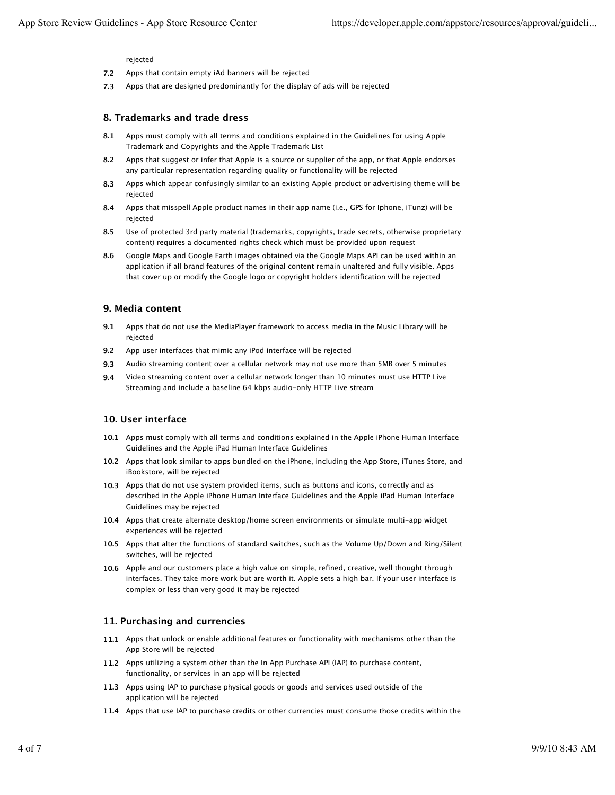#### rejected

- **7.2** Apps that contain empty iAd banners will be rejected
- **7.3** Apps that are designed predominantly for the display of ads will be rejected

# **8. Trademarks and trade dress**

- **8.1** Apps must comply with all terms and conditions explained in the Guidelines for using Apple Trademark and Copyrights and the Apple Trademark List
- **8.2** Apps that suggest or infer that Apple is a source or supplier of the app, or that Apple endorses any particular representation regarding quality or functionality will be rejected
- **8.3** Apps which appear confusingly similar to an existing Apple product or advertising theme will be rejected
- **8.4** Apps that misspell Apple product names in their app name (i.e., GPS for Iphone, iTunz) will be rejected
- **8.5** Use of protected 3rd party material (trademarks, copyrights, trade secrets, otherwise proprietary content) requires a documented rights check which must be provided upon request
- **8.6** Google Maps and Google Earth images obtained via the Google Maps API can be used within an application if all brand features of the original content remain unaltered and fully visible. Apps that cover up or modify the Google logo or copyright holders identification will be rejected

# **9. Media content**

- **9.1** Apps that do not use the MediaPlayer framework to access media in the Music Library will be rejected
- **9.2** App user interfaces that mimic any iPod interface will be rejected
- **9.3** Audio streaming content over a cellular network may not use more than 5MB over 5 minutes
- **9.4** Video streaming content over a cellular network longer than 10 minutes must use HTTP Live Streaming and include a baseline 64 kbps audio-only HTTP Live stream

# **10. User interface**

- **10.1** Apps must comply with all terms and conditions explained in the Apple iPhone Human Interface Guidelines and the Apple iPad Human Interface Guidelines
- **10.2** Apps that look similar to apps bundled on the iPhone, including the App Store, iTunes Store, and iBookstore, will be rejected
- **10.3** Apps that do not use system provided items, such as buttons and icons, correctly and as described in the Apple iPhone Human Interface Guidelines and the Apple iPad Human Interface Guidelines may be rejected
- **10.4** Apps that create alternate desktop/home screen environments or simulate multi-app widget experiences will be rejected
- **10.5** Apps that alter the functions of standard switches, such as the Volume Up/Down and Ring/Silent switches, will be rejected
- **10.6** Apple and our customers place a high value on simple, refined, creative, well thought through interfaces. They take more work but are worth it. Apple sets a high bar. If your user interface is complex or less than very good it may be rejected

# **11. Purchasing and currencies**

- **11.1** Apps that unlock or enable additional features or functionality with mechanisms other than the App Store will be rejected
- **11.2** Apps utilizing a system other than the In App Purchase API (IAP) to purchase content, functionality, or services in an app will be rejected
- **11.3** Apps using IAP to purchase physical goods or goods and services used outside of the application will be rejected
- **11.4** Apps that use IAP to purchase credits or other currencies must consume those credits within the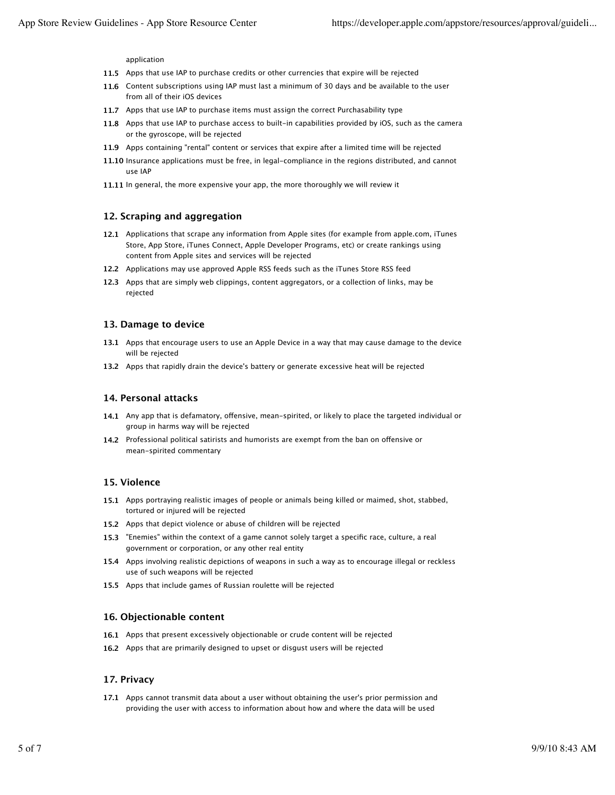application

- **11.5** Apps that use IAP to purchase credits or other currencies that expire will be rejected
- **11.6** Content subscriptions using IAP must last a minimum of 30 days and be available to the user from all of their iOS devices
- **11.7** Apps that use IAP to purchase items must assign the correct Purchasability type
- **11.8** Apps that use IAP to purchase access to built-in capabilities provided by iOS, such as the camera or the gyroscope, will be rejected
- **11.9** Apps containing "rental" content or services that expire after a limited time will be rejected
- **11.10** Insurance applications must be free, in legal-compliance in the regions distributed, and cannot use IAP
- **11.11** In general, the more expensive your app, the more thoroughly we will review it

#### **12. Scraping and aggregation**

- **12.1** Applications that scrape any information from Apple sites (for example from apple.com, iTunes Store, App Store, iTunes Connect, Apple Developer Programs, etc) or create rankings using content from Apple sites and services will be rejected
- **12.2** Applications may use approved Apple RSS feeds such as the iTunes Store RSS feed
- **12.3** Apps that are simply web clippings, content aggregators, or a collection of links, may be rejected

#### **13. Damage to device**

- **13.1** Apps that encourage users to use an Apple Device in a way that may cause damage to the device will be rejected
- **13.2** Apps that rapidly drain the device's battery or generate excessive heat will be rejected

#### **14. Personal attacks**

- 14.1 Any app that is defamatory, offensive, mean-spirited, or likely to place the targeted individual or group in harms way will be rejected
- 14.2 Professional political satirists and humorists are exempt from the ban on offensive or mean-spirited commentary

#### **15. Violence**

- **15.1** Apps portraying realistic images of people or animals being killed or maimed, shot, stabbed, tortured or injured will be rejected
- **15.2** Apps that depict violence or abuse of children will be rejected
- **15.3** "Enemies" within the context of a game cannot solely target a specific race, culture, a real government or corporation, or any other real entity
- **15.4** Apps involving realistic depictions of weapons in such a way as to encourage illegal or reckless use of such weapons will be rejected
- **15.5** Apps that include games of Russian roulette will be rejected

#### **16. Objectionable content**

- **16.1** Apps that present excessively objectionable or crude content will be rejected
- **16.2** Apps that are primarily designed to upset or disgust users will be rejected

#### **17. Privacy**

**17.1** Apps cannot transmit data about a user without obtaining the user's prior permission and providing the user with access to information about how and where the data will be used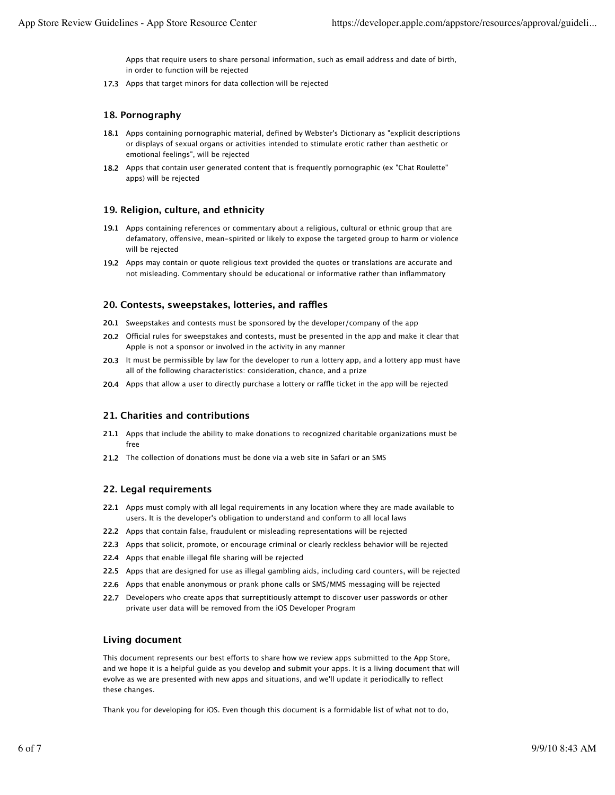Apps that require users to share personal information, such as email address and date of birth, in order to function will be rejected

**17.3** Apps that target minors for data collection will be rejected

# **18. Pornography**

- **18.1** Apps containing pornographic material, defined by Webster's Dictionary as "explicit descriptions or displays of sexual organs or activities intended to stimulate erotic rather than aesthetic or emotional feelings", will be rejected
- 18.2 Apps that contain user generated content that is frequently pornographic (ex "Chat Roulette" apps) will be rejected

#### **19. Religion, culture, and ethnicity**

- **19.1** Apps containing references or commentary about a religious, cultural or ethnic group that are defamatory, offensive, mean-spirited or likely to expose the targeted group to harm or violence will be rejected
- **19.2** Apps may contain or quote religious text provided the quotes or translations are accurate and not misleading. Commentary should be educational or informative rather than inflammatory

#### **20. Contests, sweepstakes, lotteries, and ra!es**

- **20.1** Sweepstakes and contests must be sponsored by the developer/company of the app
- 20.2 Official rules for sweepstakes and contests, must be presented in the app and make it clear that Apple is not a sponsor or involved in the activity in any manner
- **20.3** It must be permissible by law for the developer to run a lottery app, and a lottery app must have all of the following characteristics: consideration, chance, and a prize
- 20.4 Apps that allow a user to directly purchase a lottery or raffle ticket in the app will be rejected

#### **21. Charities and contributions**

- **21.1** Apps that include the ability to make donations to recognized charitable organizations must be free
- **21.2** The collection of donations must be done via a web site in Safari or an SMS

#### **22. Legal requirements**

- **22.1** Apps must comply with all legal requirements in any location where they are made available to users. It is the developer's obligation to understand and conform to all local laws
- **22.2** Apps that contain false, fraudulent or misleading representations will be rejected
- **22.3** Apps that solicit, promote, or encourage criminal or clearly reckless behavior will be rejected
- **22.4** Apps that enable illegal file sharing will be rejected
- **22.5** Apps that are designed for use as illegal gambling aids, including card counters, will be rejected
- **22.6** Apps that enable anonymous or prank phone calls or SMS/MMS messaging will be rejected
- **22.7** Developers who create apps that surreptitiously attempt to discover user passwords or other private user data will be removed from the iOS Developer Program

# **Living document**

This document represents our best efforts to share how we review apps submitted to the App Store, and we hope it is a helpful guide as you develop and submit your apps. It is a living document that will evolve as we are presented with new apps and situations, and we'll update it periodically to reflect these changes.

Thank you for developing for iOS. Even though this document is a formidable list of what not to do,